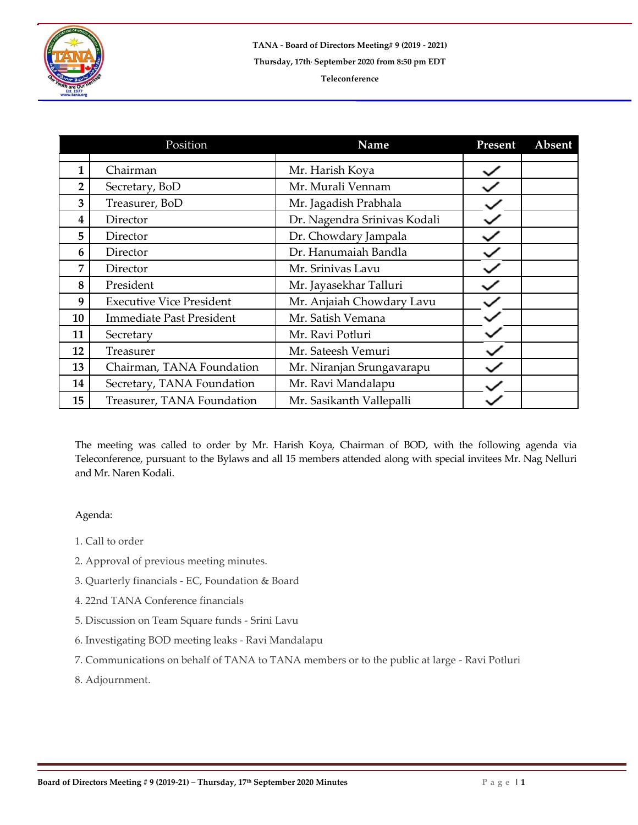

|    | Position                        | Name                         | Present | Absent |
|----|---------------------------------|------------------------------|---------|--------|
|    |                                 |                              |         |        |
| 1  | Chairman                        | Mr. Harish Koya              |         |        |
| 2  | Secretary, BoD                  | Mr. Murali Vennam            |         |        |
| 3  | Treasurer, BoD                  | Mr. Jagadish Prabhala        |         |        |
| 4  | Director                        | Dr. Nagendra Srinivas Kodali |         |        |
| 5  | Director                        | Dr. Chowdary Jampala         |         |        |
| 6  | Director                        | Dr. Hanumaiah Bandla         |         |        |
| 7  | Director                        | Mr. Srinivas Lavu            |         |        |
| 8  | President                       | Mr. Jayasekhar Talluri       |         |        |
| 9  | <b>Executive Vice President</b> | Mr. Anjaiah Chowdary Lavu    |         |        |
| 10 | <b>Immediate Past President</b> | Mr. Satish Vemana            |         |        |
| 11 | Secretary                       | Mr. Ravi Potluri             |         |        |
| 12 | Treasurer                       | Mr. Sateesh Vemuri           |         |        |
| 13 | Chairman, TANA Foundation       | Mr. Niranjan Srungavarapu    |         |        |
| 14 | Secretary, TANA Foundation      | Mr. Ravi Mandalapu           |         |        |
| 15 | Treasurer, TANA Foundation      | Mr. Sasikanth Vallepalli     |         |        |

The meeting was called to order by Mr. Harish Koya, Chairman of BOD, with the following agenda via Teleconference, pursuant to the Bylaws and all 15 members attended along with special invitees Mr. Nag Nelluri and Mr. Naren Kodali.

## Agenda:

- 1. Call to order
- 2. Approval of previous meeting minutes.
- 3. Quarterly financials EC, Foundation & Board
- 4. 22nd TANA Conference financials
- 5. Discussion on Team Square funds Srini Lavu
- 6. Investigating BOD meeting leaks Ravi Mandalapu
- 7. Communications on behalf of TANA to TANA members or to the public at large Ravi Potluri
- 8. Adjournment.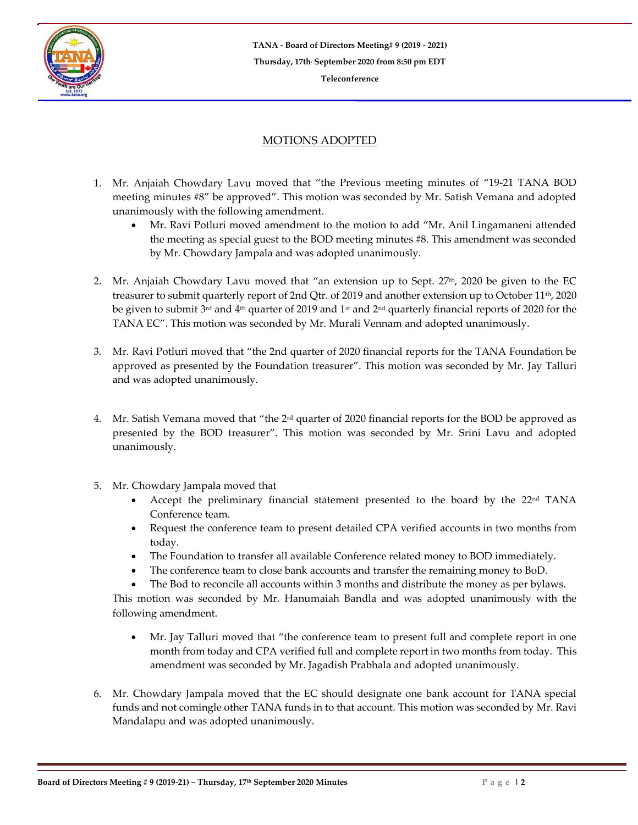

## MOTIONS ADOPTED

- 1. Mr. Anjaiah Chowdary Lavu moved that "the Previous meeting minutes of "19-21 TANA BOD meeting minutes #8" be approved". This motion was seconded by Mr. Satish Vemana and adopted unanimously with the following amendment.
	- Mr. Ravi Potluri moved amendment to the motion to add "Mr. Anil Lingamaneni attended the meeting as special guest to the BOD meeting minutes #8. This amendment was seconded by Mr. Chowdary Jampala and was adopted unanimously.
- 2. Mr. Anjaiah Chowdary Lavu moved that "an extension up to Sept.  $27<sup>th</sup>$ , 2020 be given to the EC treasurer to submit quarterly report of 2nd Qtr. of 2019 and another extension up to October 11<sup>th</sup>, 2020 be given to submit 3rd and 4th quarter of 2019 and 1st and 2nd quarterly financial reports of 2020 for the TANA EC". This motion was seconded by Mr. Murali Vennam and adopted unanimously.
- 3. Mr. Ravi Potluri moved that "the 2nd quarter of 2020 financial reports for the TANA Foundation be approved as presented by the Foundation treasurer". This motion was seconded by Mr. Jay Talluri and was adopted unanimously.
- 4. Mr. Satish Vemana moved that "the 2<sup>rd</sup> quarter of 2020 financial reports for the BOD be approved as presented by the BOD treasurer". This motion was seconded by Mr. Srini Lavu and adopted unanimously.
- 5. Mr. Chowdary Jampala moved that
	- Accept the preliminary financial statement presented to the board by the  $22<sup>nd</sup> TANA$ Conference team.
	- Request the conference team to present detailed CPA verified accounts in two months from today.
	- The Foundation to transfer all available Conference related money to BOD immediately.
	- The conference team to close bank accounts and transfer the remaining money to BoD.
	- The Bod to reconcile all accounts within 3 months and distribute the money as per bylaws.

This motion was seconded by Mr. Hanumaiah Bandla and was adopted unanimously with the following amendment.

- Mr. Jay Talluri moved that "the conference team to present full and complete report in one month from today and CPA verified full and complete report in two months from today. This amendment was seconded by Mr. Jagadish Prabhala and adopted unanimously.
- 6. Mr. Chowdary Jampala moved that the EC should designate one bank account for TANA special funds and not comingle other TANA funds in to that account. This motion was seconded by Mr. Ravi Mandalapu and was adopted unanimously.